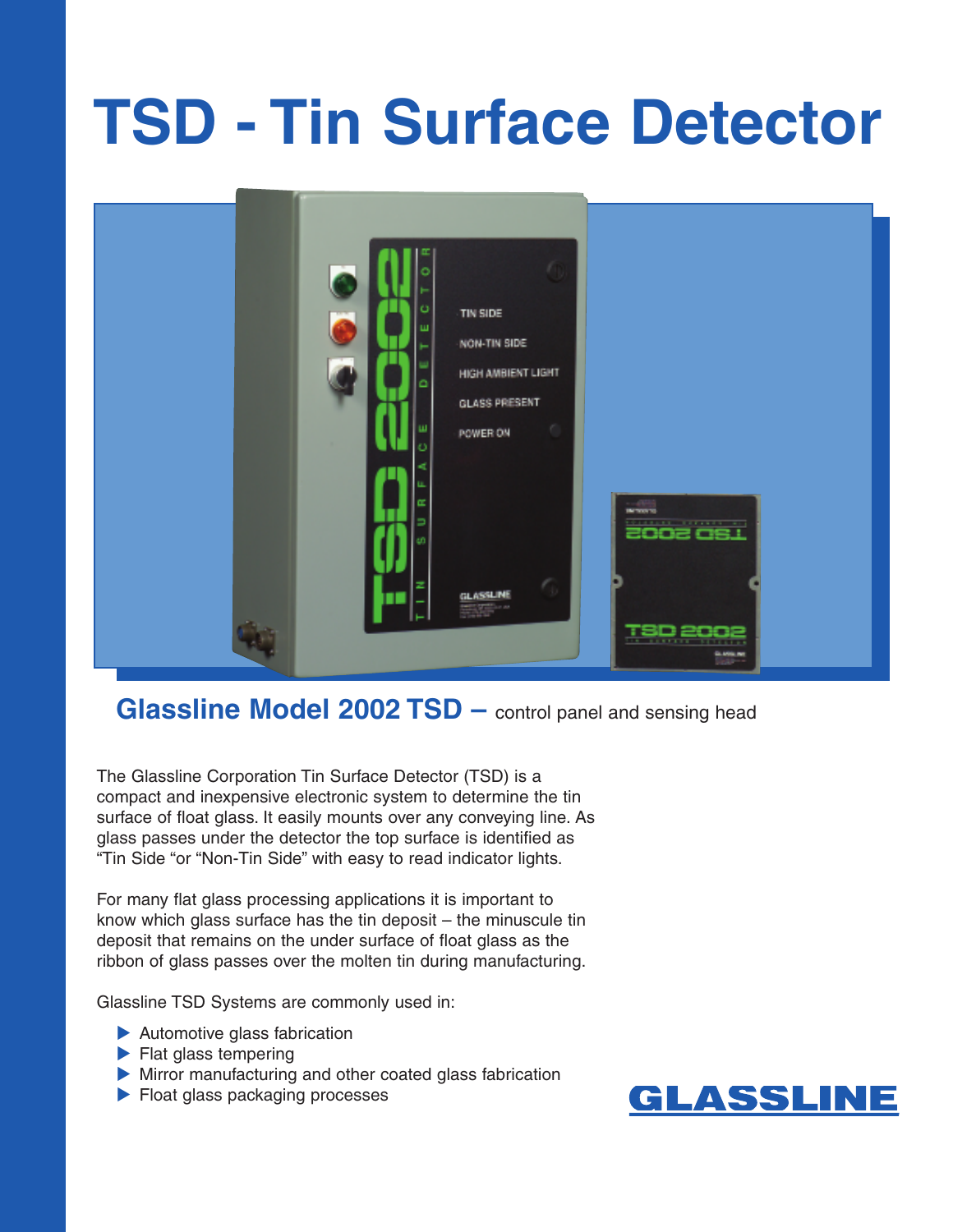# **TSD - Tin Surface Detector**



**Glassline Model 2002 TSD –** control panel and sensing head

The Glassline Corporation Tin Surface Detector (TSD) is a compact and inexpensive electronic system to determine the tin surface of float glass. It easily mounts over any conveying line. As glass passes under the detector the top surface is identified as "Tin Side "or "Non-Tin Side" with easy to read indicator lights.

For many flat glass processing applications it is important to know which glass surface has the tin deposit – the minuscule tin deposit that remains on the under surface of float glass as the ribbon of glass passes over the molten tin during manufacturing.

Glassline TSD Systems are commonly used in:

- Automotive glass fabrication
- $\blacktriangleright$  Flat glass tempering
- Mirror manufacturing and other coated glass fabrication
- Float glass packaging processes